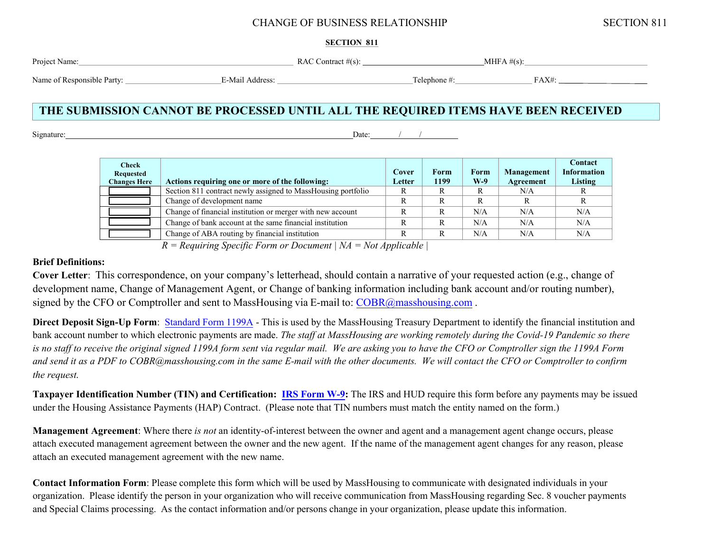**SECTION 811** 

| Project Name:              | RAC Contract $#(s)$ : |              | MHFA $#(s)$ : |
|----------------------------|-----------------------|--------------|---------------|
| Name of Responsible Party: | E-Mail Address:       | Telephone #: | . AX#         |

## **THE SUBMISSION CANNOT BE PROCESSED UNTIL ALL THE REQUIRED ITEMS HAVE BEEN RECEIVED**

Signature: Date: / / /

| Check<br>Requested<br><b>Changes Here</b> | Actions requiring one or more of the following:              | Cover<br>Letter | Form<br>1199 | Form<br>W-9 | Management<br>Agreement | Contact<br><b>Information</b><br><b>Listing</b> |
|-------------------------------------------|--------------------------------------------------------------|-----------------|--------------|-------------|-------------------------|-------------------------------------------------|
|                                           | Section 811 contract newly assigned to MassHousing portfolio | R               | R            | R           | N/A                     | R                                               |
|                                           | Change of development name                                   | R               | R            | R           |                         | R                                               |
|                                           | Change of financial institution or merger with new account   | R               | R            | N/A         | N/A                     | N/A                                             |
|                                           | Change of bank account at the same financial institution     | R               | R            | N/A         | N/A                     | N/A                                             |
|                                           | Change of ABA routing by financial institution               | R               | R            | N/A         | N/A                     | N/A                                             |

*R = Requiring Specific Form or Document | NA = Not Applicable |* 

#### **Brief Definitions:**

**Cover Letter**: This correspondence, on your company's letterhead, should contain a narrative of your requested action (e.g., change of development name, Change of Management Agent, or Change of banking information including bank account and/or routing number), [signed by the CFO or Comp](mailto:COBR@masshousing.com)troller and sent to MassHousing via E-mail to: COBR@masshousing.com.

**Direct Deposit Sign-Up Form**: [Standard Form 1199A](https://www.gsa.gov/portal/forms/download/115702) - This is used by the MassHousing Treasury Department to identify the financial institution and bank account number to which electronic payments are made. *The staff at MassHousing are working remotely during the Covid-19 Pandemic so there is no staff to receive the original signed 1199A form sent via regular mail. We are asking you to have the CFO or Comptroller sign the 1199A Form and send it as a PDF to COBR@masshousing.com in the same E-mail with the other documents. We will contact the CFO or Comptroller to confirm the request.*

**Taxpayer Identification Number (TIN) and Certification: [IRS Form W-9:](https://www.irs.gov/pub/irs-pdf/fw9.pdf)** The IRS and HUD require this form before any payments may be issued under the Housing Assistance Payments (HAP) Contract. (Please note that TIN numbers must match the entity named on the form.)

**Management Agreement**: Where there *is not* an identity-of-interest between the owner and agent and a management agent change occurs, please attach executed management agreement between the owner and the new agent. If the name of the management agent changes for any reason, please attach an executed management agreement with the new name.

**Contact Information Form**: Please complete this form which will be used by MassHousing to communicate with designated individuals in your organization. Please identify the person in your organization who will receive communication from MassHousing regarding Sec. 8 voucher payments and Special Claims processing. As the contact information and/or persons change in your organization, please update this information.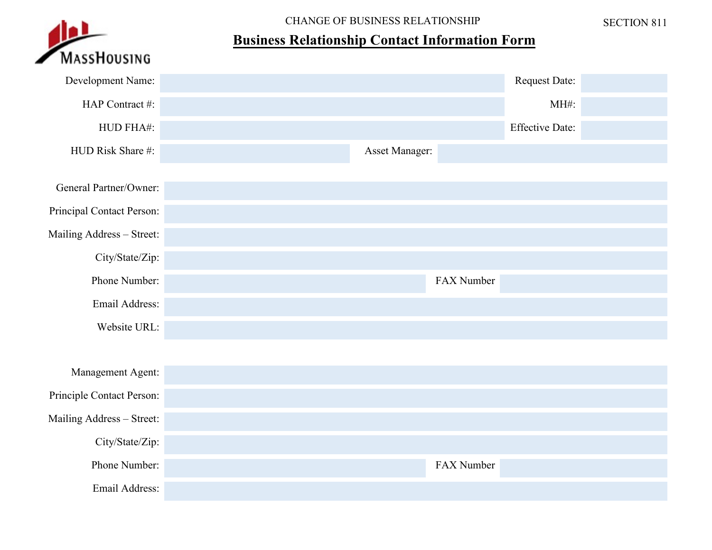

# **Business Relationship Contact Information Form**

| Development Name:         |                | Request Date:          |
|---------------------------|----------------|------------------------|
| HAP Contract #:           |                | MH#:                   |
| HUD FHA#:                 |                | <b>Effective Date:</b> |
| HUD Risk Share #:         | Asset Manager: |                        |
|                           |                |                        |
| General Partner/Owner:    |                |                        |
| Principal Contact Person: |                |                        |
| Mailing Address - Street: |                |                        |
| City/State/Zip:           |                |                        |
| Phone Number:             |                | FAX Number             |
| Email Address:            |                |                        |
| Website URL:              |                |                        |
|                           |                |                        |
| Management Agent:         |                |                        |
| Principle Contact Person: |                |                        |
| Mailing Address - Street: |                |                        |
| City/State/Zip:           |                |                        |
| Phone Number:             |                | FAX Number             |
| Email Address:            |                |                        |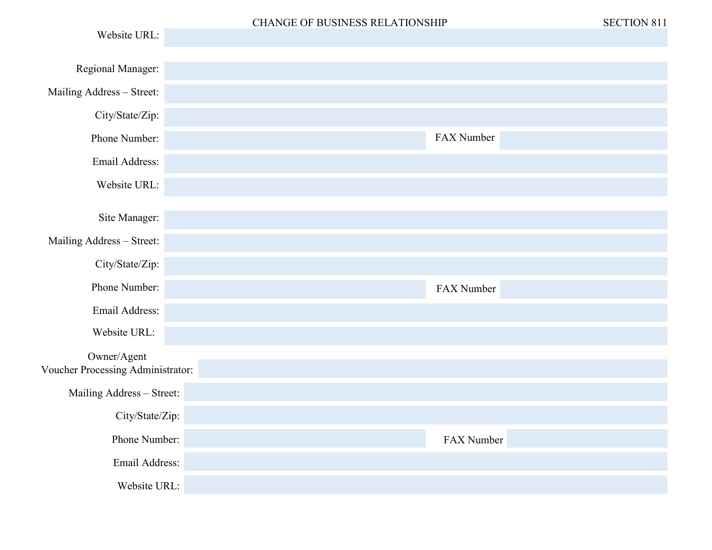| Website URL:                      |            |
|-----------------------------------|------------|
|                                   |            |
| Regional Manager:                 |            |
| Mailing Address - Street:         |            |
| City/State/Zip:                   |            |
| Phone Number:                     | FAX Number |
| Email Address:                    |            |
| Website URL:                      |            |
| Site Manager:                     |            |
|                                   |            |
| Mailing Address - Street:         |            |
| City/State/Zip:                   |            |
| Phone Number:                     | FAX Number |
| Email Address:                    |            |
| Website URL:                      |            |
| Owner/Agent                       |            |
| Voucher Processing Administrator: |            |
| Mailing Address - Street:         |            |
| City/State/Zip:                   |            |
| Phone Number:                     | FAX Number |
| Email Address:                    |            |
| Website URL:                      |            |